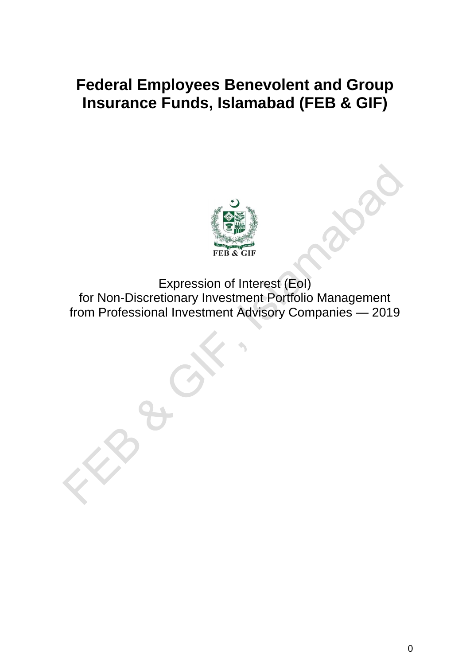# **Federal Employees Benevolent and Group Insurance Funds, Islamabad (FEB & GIF)**



Expression of Interest (EoI) for Non-Discretionary Investment Portfolio Management from Professional Investment Advisory Companies — 2019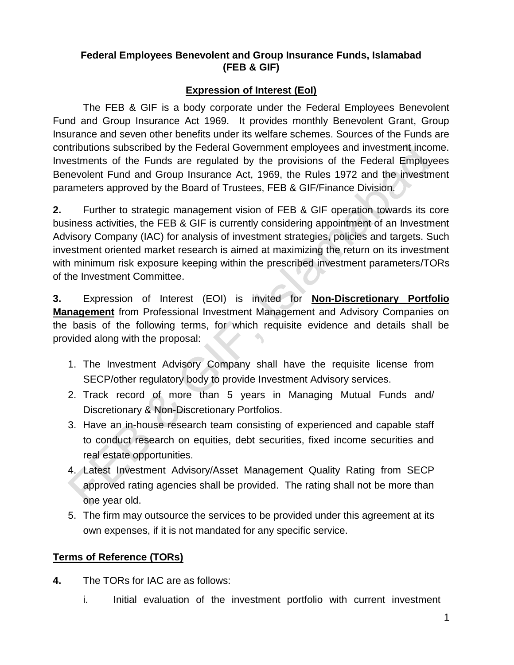#### **Federal Employees Benevolent and Group Insurance Funds, Islamabad (FEB & GIF)**

#### **Expression of Interest (EoI)**

The FEB & GIF is a body corporate under the Federal Employees Benevolent Fund and Group Insurance Act 1969. It provides monthly Benevolent Grant, Group Insurance and seven other benefits under its welfare schemes. Sources of the Funds are contributions subscribed by the Federal Government employees and investment income. Investments of the Funds are regulated by the provisions of the Federal Employees Benevolent Fund and Group Insurance Act, 1969, the Rules 1972 and the investment parameters approved by the Board of Trustees, FEB & GIF/Finance Division.

**2.** Further to strategic management vision of FEB & GIF operation towards its core business activities, the FEB & GIF is currently considering appointment of an Investment Advisory Company (IAC) for analysis of investment strategies, policies and targets. Such investment oriented market research is aimed at maximizing the return on its investment with minimum risk exposure keeping within the prescribed investment parameters/TORs of the Investment Committee.

**3.** Expression of Interest (EOI) is invited for **Non-Discretionary Portfolio Management** from Professional Investment Management and Advisory Companies on the basis of the following terms, for which requisite evidence and details shall be provided along with the proposal:

- 1. The Investment Advisory Company shall have the requisite license from SECP/other regulatory body to provide Investment Advisory services.
- 2. Track record of more than 5 years in Managing Mutual Funds and/ Discretionary & Non-Discretionary Portfolios.
- 3. Have an in-house research team consisting of experienced and capable staff to conduct research on equities, debt securities, fixed income securities and real estate opportunities.
- 4. Latest Investment Advisory/Asset Management Quality Rating from SECP approved rating agencies shall be provided. The rating shall not be more than one year old.
- 5. The firm may outsource the services to be provided under this agreement at its own expenses, if it is not mandated for any specific service.

#### **Terms of Reference (TORs)**

- **4.** The TORs for IAC are as follows:
	- i. Initial evaluation of the investment portfolio with current investment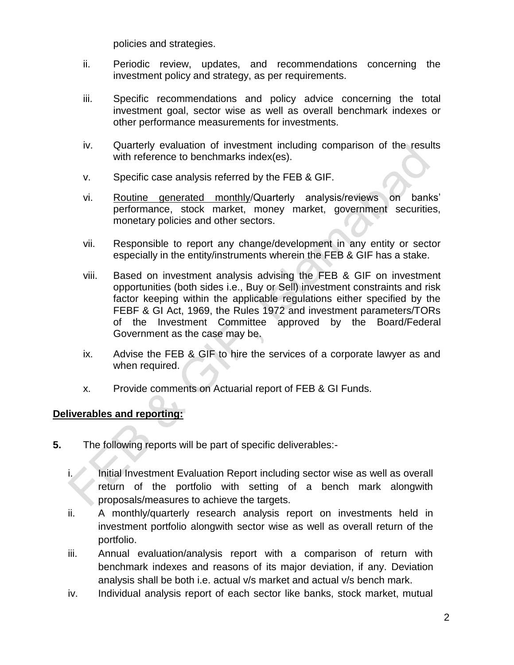policies and strategies.

- ii. Periodic review, updates, and recommendations concerning the investment policy and strategy, as per requirements.
- iii. Specific recommendations and policy advice concerning the total investment goal, sector wise as well as overall benchmark indexes or other performance measurements for investments.
- iv. Quarterly evaluation of investment including comparison of the results with reference to benchmarks index(es).
- v. Specific case analysis referred by the FEB & GIF.
- vi. Routine generated monthly/Quarterly analysis/reviews on banks" performance, stock market, money market, government securities, monetary policies and other sectors.
- vii. Responsible to report any change/development in any entity or sector especially in the entity/instruments wherein the FEB & GIF has a stake.
- viii. Based on investment analysis advising the FEB & GIF on investment opportunities (both sides i.e., Buy or Sell) investment constraints and risk factor keeping within the applicable regulations either specified by the FEBF & GI Act, 1969, the Rules 1972 and investment parameters/TORs of the Investment Committee approved by the Board/Federal Government as the case may be.
- ix. Advise the FEB & GIF to hire the services of a corporate lawyer as and when required.
- x. Provide comments on Actuarial report of FEB & GI Funds.

#### **Deliverables and reporting:**

- **5.** The following reports will be part of specific deliverables:
	- i. Initial Investment Evaluation Report including sector wise as well as overall return of the portfolio with setting of a bench mark alongwith proposals/measures to achieve the targets.
	- ii. A monthly/quarterly research analysis report on investments held in investment portfolio alongwith sector wise as well as overall return of the portfolio.
	- iii. Annual evaluation/analysis report with a comparison of return with benchmark indexes and reasons of its major deviation, if any. Deviation analysis shall be both i.e. actual v/s market and actual v/s bench mark.
	- iv. Individual analysis report of each sector like banks, stock market, mutual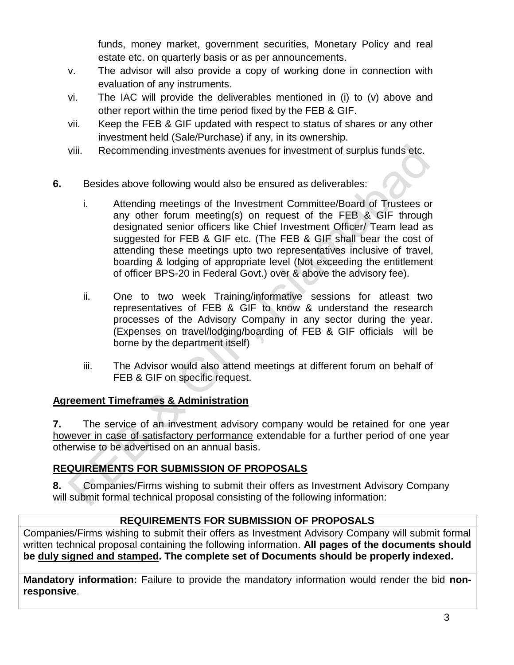funds, money market, government securities, Monetary Policy and real estate etc. on quarterly basis or as per announcements.

- v. The advisor will also provide a copy of working done in connection with evaluation of any instruments.
- vi. The IAC will provide the deliverables mentioned in (i) to (v) above and other report within the time period fixed by the FEB & GIF.
- vii. Keep the FEB & GIF updated with respect to status of shares or any other investment held (Sale/Purchase) if any, in its ownership.
- viii. Recommending investments avenues for investment of surplus funds etc.
- **6.** Besides above following would also be ensured as deliverables:
	- i. Attending meetings of the Investment Committee/Board of Trustees or any other forum meeting(s) on request of the FEB & GIF through designated senior officers like Chief Investment Officer/ Team lead as suggested for FEB & GIF etc. (The FEB & GIF shall bear the cost of attending these meetings upto two representatives inclusive of travel, boarding & lodging of appropriate level (Not exceeding the entitlement of officer BPS-20 in Federal Govt.) over & above the advisory fee).
	- ii. One to two week Training/informative sessions for atleast two representatives of FEB & GIF to know & understand the research processes of the Advisory Company in any sector during the year. (Expenses on travel/lodging/boarding of FEB & GIF officials will be borne by the department itself)
	- iii. The Advisor would also attend meetings at different forum on behalf of FEB & GIF on specific request.

## **Agreement Timeframes & Administration**

**7.** The service of an investment advisory company would be retained for one year however in case of satisfactory performance extendable for a further period of one year otherwise to be advertised on an annual basis.

# **REQUIREMENTS FOR SUBMISSION OF PROPOSALS**

**8.** Companies/Firms wishing to submit their offers as Investment Advisory Company will submit formal technical proposal consisting of the following information:

## **REQUIREMENTS FOR SUBMISSION OF PROPOSALS**

Companies/Firms wishing to submit their offers as Investment Advisory Company will submit formal written technical proposal containing the following information. **All pages of the documents should be duly signed and stamped. The complete set of Documents should be properly indexed.**

**Mandatory information:** Failure to provide the mandatory information would render the bid **nonresponsive**.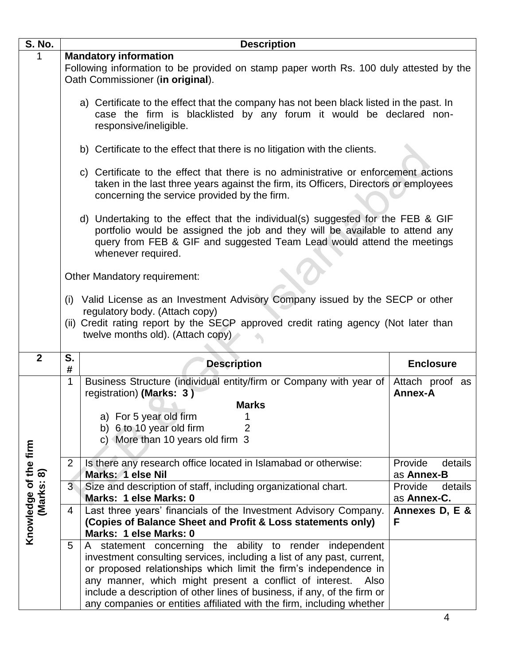| <b>S. No.</b>                       | <b>Description</b>                                                                                                                                                                                                                                              |                                                                                                                            |                            |  |  |  |
|-------------------------------------|-----------------------------------------------------------------------------------------------------------------------------------------------------------------------------------------------------------------------------------------------------------------|----------------------------------------------------------------------------------------------------------------------------|----------------------------|--|--|--|
|                                     | <b>Mandatory information</b>                                                                                                                                                                                                                                    |                                                                                                                            |                            |  |  |  |
|                                     |                                                                                                                                                                                                                                                                 | Following information to be provided on stamp paper worth Rs. 100 duly attested by the<br>Oath Commissioner (in original). |                            |  |  |  |
|                                     | a) Certificate to the effect that the company has not been black listed in the past. In<br>case the firm is blacklisted by any forum it would be declared non-<br>responsive/ineligible.                                                                        |                                                                                                                            |                            |  |  |  |
|                                     |                                                                                                                                                                                                                                                                 | b) Certificate to the effect that there is no litigation with the clients.                                                 |                            |  |  |  |
|                                     | c) Certificate to the effect that there is no administrative or enforcement actions<br>taken in the last three years against the firm, its Officers, Directors or employees<br>concerning the service provided by the firm.                                     |                                                                                                                            |                            |  |  |  |
|                                     | d) Undertaking to the effect that the individual(s) suggested for the FEB & GIF<br>portfolio would be assigned the job and they will be available to attend any<br>query from FEB & GIF and suggested Team Lead would attend the meetings<br>whenever required. |                                                                                                                            |                            |  |  |  |
|                                     |                                                                                                                                                                                                                                                                 | Other Mandatory requirement:                                                                                               |                            |  |  |  |
|                                     | (i) Valid License as an Investment Advisory Company issued by the SECP or other<br>regulatory body. (Attach copy)<br>(ii) Credit rating report by the SECP approved credit rating agency (Not later than<br>twelve months old). (Attach copy)                   |                                                                                                                            |                            |  |  |  |
|                                     |                                                                                                                                                                                                                                                                 |                                                                                                                            |                            |  |  |  |
| $\overline{2}$                      | S.<br>#                                                                                                                                                                                                                                                         | <b>Description</b>                                                                                                         | <b>Enclosure</b>           |  |  |  |
|                                     | 1                                                                                                                                                                                                                                                               | Business Structure (individual entity/firm or Company with year of<br>registration) (Marks: 3)                             | Attach proof as<br>Annex-A |  |  |  |
|                                     |                                                                                                                                                                                                                                                                 | <b>Marks</b>                                                                                                               |                            |  |  |  |
|                                     |                                                                                                                                                                                                                                                                 | a) For 5 year old firm                                                                                                     |                            |  |  |  |
|                                     |                                                                                                                                                                                                                                                                 | b) 6 to 10 year old firm                                                                                                   |                            |  |  |  |
|                                     |                                                                                                                                                                                                                                                                 | c) More than 10 years old firm 3                                                                                           |                            |  |  |  |
|                                     | 2                                                                                                                                                                                                                                                               | Is there any research office located in Islamabad or otherwise:                                                            | Provide<br>details         |  |  |  |
|                                     |                                                                                                                                                                                                                                                                 | Marks: 1 else Nil                                                                                                          | as Annex-B                 |  |  |  |
|                                     | 3 <sup>1</sup>                                                                                                                                                                                                                                                  | Size and description of staff, including organizational chart.                                                             | Provide<br>details         |  |  |  |
|                                     |                                                                                                                                                                                                                                                                 | Marks: 1 else Marks: 0                                                                                                     | as Annex-C.                |  |  |  |
|                                     | 4                                                                                                                                                                                                                                                               | Last three years' financials of the Investment Advisory Company.                                                           | Annexes D, E &             |  |  |  |
|                                     |                                                                                                                                                                                                                                                                 | (Copies of Balance Sheet and Profit & Loss statements only)                                                                | F                          |  |  |  |
| Knowledge of the firm<br>(Marks: 8) |                                                                                                                                                                                                                                                                 | Marks: 1 else Marks: 0                                                                                                     |                            |  |  |  |
|                                     | 5                                                                                                                                                                                                                                                               | statement concerning the ability to render independent<br>A.                                                               |                            |  |  |  |
|                                     |                                                                                                                                                                                                                                                                 | investment consulting services, including a list of any past, current,                                                     |                            |  |  |  |
|                                     |                                                                                                                                                                                                                                                                 | or proposed relationships which limit the firm's independence in                                                           |                            |  |  |  |
|                                     |                                                                                                                                                                                                                                                                 | any manner, which might present a conflict of interest.<br>Also                                                            |                            |  |  |  |
|                                     |                                                                                                                                                                                                                                                                 | include a description of other lines of business, if any, of the firm or                                                   |                            |  |  |  |
|                                     |                                                                                                                                                                                                                                                                 | any companies or entities affiliated with the firm, including whether                                                      |                            |  |  |  |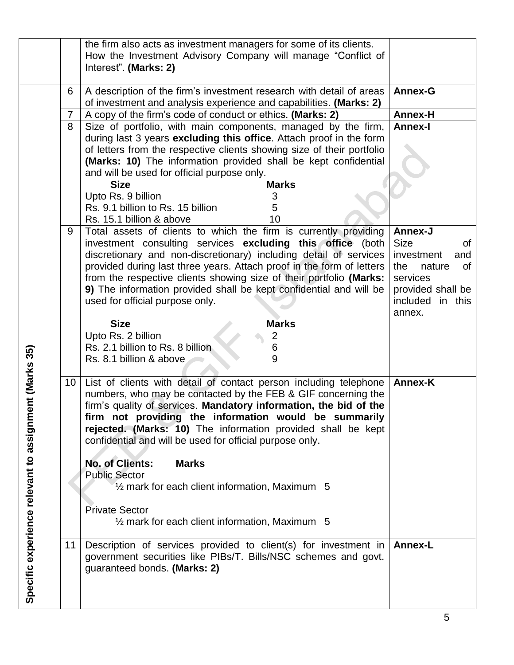|                                         |    | the firm also acts as investment managers for some of its clients.<br>How the Investment Advisory Company will manage "Conflict of<br>Interest". (Marks: 2) |                                       |
|-----------------------------------------|----|-------------------------------------------------------------------------------------------------------------------------------------------------------------|---------------------------------------|
|                                         | 6  | A description of the firm's investment research with detail of areas<br>of investment and analysis experience and capabilities. (Marks: 2)                  | <b>Annex-G</b>                        |
|                                         | 7  | A copy of the firm's code of conduct or ethics. (Marks: 2)                                                                                                  | Annex-H                               |
|                                         | 8  | Size of portfolio, with main components, managed by the firm,                                                                                               | <b>Annex-I</b>                        |
|                                         |    | during last 3 years excluding this office. Attach proof in the form                                                                                         |                                       |
|                                         |    | of letters from the respective clients showing size of their portfolio                                                                                      |                                       |
|                                         |    | (Marks: 10) The information provided shall be kept confidential                                                                                             |                                       |
|                                         |    | and will be used for official purpose only.                                                                                                                 |                                       |
|                                         |    | <b>Marks</b><br><b>Size</b>                                                                                                                                 |                                       |
|                                         |    | Upto Rs. 9 billion<br>3<br>Rs. 9.1 billion to Rs. 15 billion<br>5                                                                                           |                                       |
|                                         |    | Rs. 15.1 billion & above<br>10                                                                                                                              |                                       |
|                                         | 9  | Total assets of clients to which the firm is currently providing                                                                                            | Annex-J                               |
|                                         |    | investment consulting services excluding this office (both                                                                                                  | <b>Size</b><br>οf                     |
|                                         |    | discretionary and non-discretionary) including detail of services                                                                                           | investment<br>and                     |
|                                         |    | provided during last three years. Attach proof in the form of letters                                                                                       | nature<br>of<br>the                   |
|                                         |    | from the respective clients showing size of their portfolio (Marks:                                                                                         | services                              |
|                                         |    | 9) The information provided shall be kept confidential and will be<br>used for official purpose only.                                                       | provided shall be<br>included in this |
|                                         |    |                                                                                                                                                             | annex.                                |
|                                         |    | <b>Size</b><br><b>Marks</b>                                                                                                                                 |                                       |
|                                         |    | Upto Rs. 2 billion<br>$\overline{c}$                                                                                                                        |                                       |
|                                         |    | Rs. 2.1 billion to Rs. 8 billion<br>6                                                                                                                       |                                       |
|                                         |    | 9<br>Rs. 8.1 billion & above                                                                                                                                |                                       |
| ent (Marks 35)                          |    |                                                                                                                                                             |                                       |
|                                         | 10 | List of clients with detail of contact person including telephone<br>numbers, who may be contacted by the FEB & GIF concerning the                          | <b>Annex-K</b>                        |
|                                         |    | firm's quality of services. Mandatory information, the bid of the                                                                                           |                                       |
|                                         |    | firm not providing the information would be summarily                                                                                                       |                                       |
|                                         |    | rejected. (Marks: 10) The information provided shall be kept                                                                                                |                                       |
|                                         |    | confidential and will be used for official purpose only.                                                                                                    |                                       |
|                                         |    |                                                                                                                                                             |                                       |
|                                         |    | <b>No. of Clients:</b><br><b>Marks</b>                                                                                                                      |                                       |
|                                         |    | <b>Public Sector</b><br>$\frac{1}{2}$ mark for each client information, Maximum 5                                                                           |                                       |
|                                         |    |                                                                                                                                                             |                                       |
|                                         |    | <b>Private Sector</b>                                                                                                                                       |                                       |
|                                         |    | $\frac{1}{2}$ mark for each client information, Maximum 5                                                                                                   |                                       |
|                                         |    |                                                                                                                                                             |                                       |
|                                         | 11 | Description of services provided to client(s) for investment in                                                                                             | <b>Annex-L</b>                        |
|                                         |    | government securities like PIBs/T. Bills/NSC schemes and govt.                                                                                              |                                       |
|                                         |    | guaranteed bonds. (Marks: 2)                                                                                                                                |                                       |
| Specific experience relevant to assignm |    |                                                                                                                                                             |                                       |
|                                         |    |                                                                                                                                                             |                                       |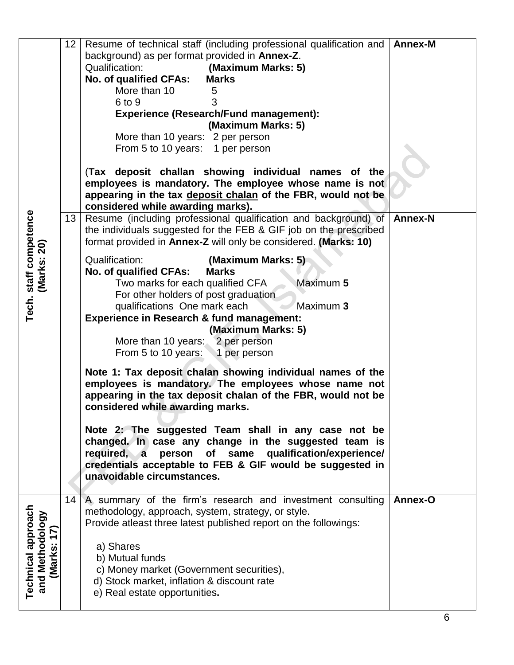|                                            | 12 | Resume of technical staff (including professional qualification and                                            | <b>Annex-M</b> |
|--------------------------------------------|----|----------------------------------------------------------------------------------------------------------------|----------------|
|                                            |    | background) as per format provided in Annex-Z.                                                                 |                |
|                                            |    | <b>Qualification:</b><br>(Maximum Marks: 5)                                                                    |                |
|                                            |    | No. of qualified CFAs:<br><b>Marks</b>                                                                         |                |
|                                            |    | More than 10<br>5                                                                                              |                |
|                                            |    | 6 to 9                                                                                                         |                |
|                                            |    | <b>Experience (Research/Fund management):</b>                                                                  |                |
|                                            |    | (Maximum Marks: 5)                                                                                             |                |
|                                            |    | More than 10 years: 2 per person                                                                               |                |
|                                            |    | From 5 to 10 years: 1 per person                                                                               |                |
|                                            |    |                                                                                                                |                |
|                                            |    | (Tax deposit challan showing individual names of the<br>employees is mandatory. The employee whose name is not |                |
|                                            |    | appearing in the tax deposit chalan of the FBR, would not be                                                   |                |
|                                            |    | considered while awarding marks).                                                                              |                |
|                                            | 13 | Resume (including professional qualification and background) of                                                | <b>Annex-N</b> |
|                                            |    | the individuals suggested for the FEB & GIF job on the prescribed                                              |                |
|                                            |    | format provided in Annex-Z will only be considered. (Marks: 10)                                                |                |
| Tech. staff competence<br>(Marks: 20)      |    | <b>Qualification:</b><br>(Maximum Marks: 5)                                                                    |                |
|                                            |    | No. of qualified CFAs:<br><b>Marks</b>                                                                         |                |
|                                            |    | Two marks for each qualified CFA<br>Maximum 5                                                                  |                |
|                                            |    | For other holders of post graduation                                                                           |                |
|                                            |    | qualifications One mark each<br>Maximum 3                                                                      |                |
|                                            |    | <b>Experience in Research &amp; fund management:</b>                                                           |                |
|                                            |    | (Maximum Marks: 5)                                                                                             |                |
|                                            |    | More than 10 years: 2 per person                                                                               |                |
|                                            |    | From 5 to 10 years:<br>1 per person                                                                            |                |
|                                            |    | Note 1: Tax deposit chalan showing individual names of the                                                     |                |
|                                            |    | employees is mandatory. The employees whose name not                                                           |                |
|                                            |    | appearing in the tax deposit chalan of the FBR, would not be                                                   |                |
|                                            |    | considered while awarding marks.                                                                               |                |
|                                            |    | Note 2: The suggested Team shall in any case not be                                                            |                |
|                                            |    | changed. In case any change in the suggested team is                                                           |                |
|                                            |    | person of same qualification/experience/<br>required, a                                                        |                |
|                                            |    | credentials acceptable to FEB & GIF would be suggested in                                                      |                |
|                                            |    | unavoidable circumstances.                                                                                     |                |
|                                            |    |                                                                                                                |                |
|                                            | 14 | A summary of the firm's research and investment consulting                                                     | Annex-O        |
|                                            |    | methodology, approach, system, strategy, or style.                                                             |                |
| Technical approach<br>and Methodology<br>Ĺ |    | Provide atleast three latest published report on the followings:                                               |                |
| $\blacktriangledown$                       |    | a) Shares                                                                                                      |                |
|                                            |    | b) Mutual funds                                                                                                |                |
| (Marks:                                    |    | c) Money market (Government securities),                                                                       |                |
|                                            |    | d) Stock market, inflation & discount rate                                                                     |                |
|                                            |    | e) Real estate opportunities.                                                                                  |                |
|                                            |    |                                                                                                                |                |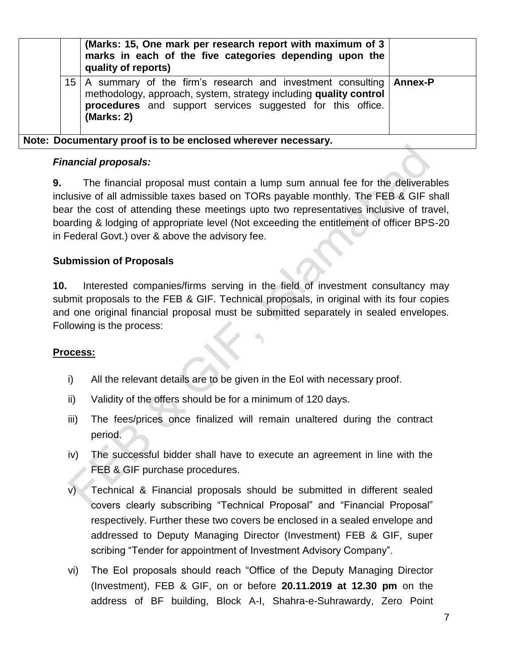|                 | (Marks: 15, One mark per research report with maximum of 3<br>marks in each of the five categories depending upon the<br>quality of reports)                                                                          |  |
|-----------------|-----------------------------------------------------------------------------------------------------------------------------------------------------------------------------------------------------------------------|--|
| 15 <sup>1</sup> | A summary of the firm's research and investment consulting   Annex-P<br>methodology, approach, system, strategy including quality control<br>procedures and support services suggested for this office.<br>(Marks: 2) |  |
|                 | Note: Documentary proof is to be enclosed wherever necessary.                                                                                                                                                         |  |

#### *Financial proposals:*

**9.** The financial proposal must contain a lump sum annual fee for the deliverables inclusive of all admissible taxes based on TORs payable monthly. The FEB & GIF shall bear the cost of attending these meetings upto two representatives inclusive of travel, boarding & lodging of appropriate level (Not exceeding the entitlement of officer BPS-20 in Federal Govt.) over & above the advisory fee.

## **Submission of Proposals**

**10.** Interested companies/firms serving in the field of investment consultancy may submit proposals to the FEB & GIF. Technical proposals, in original with its four copies and one original financial proposal must be submitted separately in sealed envelopes. Following is the process:

## **Process:**

- i) All the relevant details are to be given in the EoI with necessary proof.
- ii) Validity of the offers should be for a minimum of 120 days.
- iii) The fees/prices once finalized will remain unaltered during the contract period.
- iv) The successful bidder shall have to execute an agreement in line with the FEB & GIF purchase procedures.
- v) Technical & Financial proposals should be submitted in different sealed covers clearly subscribing "Technical Proposal" and "Financial Proposal" respectively. Further these two covers be enclosed in a sealed envelope and addressed to Deputy Managing Director (Investment) FEB & GIF, super scribing "Tender for appointment of Investment Advisory Company".
- vi) The EoI proposals should reach "Office of the Deputy Managing Director (Investment), FEB & GIF, on or before **20.11.2019 at 12.30 pm** on the address of BF building, Block A-I, Shahra-e-Suhrawardy, Zero Point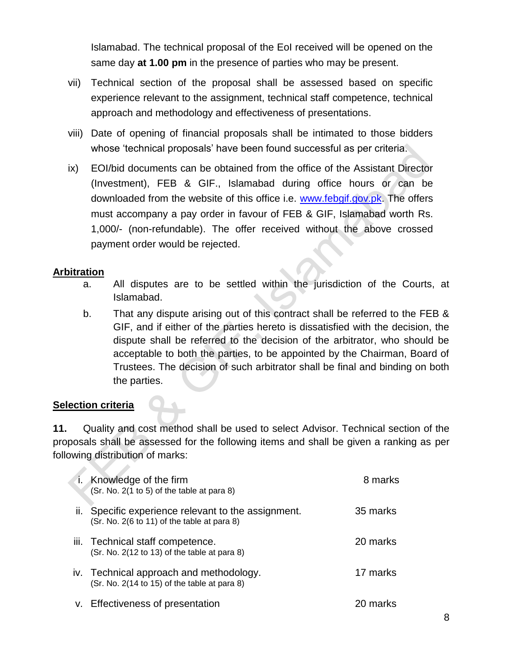Islamabad. The technical proposal of the EoI received will be opened on the same day **at 1.00 pm** in the presence of parties who may be present.

- vii) Technical section of the proposal shall be assessed based on specific experience relevant to the assignment, technical staff competence, technical approach and methodology and effectiveness of presentations.
- viii) Date of opening of financial proposals shall be intimated to those bidders whose 'technical proposals' have been found successful as per criteria.
- ix) EOI/bid documents can be obtained from the office of the Assistant Director (Investment), FEB & GIF., Islamabad during office hours or can be downloaded from the website of this office i.e. [www.febgif.gov.pk.](http://www.febgif.gov.pk/) The offers must accompany a pay order in favour of FEB & GIF, Islamabad worth Rs. 1,000/- (non-refundable). The offer received without the above crossed payment order would be rejected.

#### **Arbitration**

- a. All disputes are to be settled within the jurisdiction of the Courts, at Islamabad.
- b. That any dispute arising out of this contract shall be referred to the FEB & GIF, and if either of the parties hereto is dissatisfied with the decision, the dispute shall be referred to the decision of the arbitrator, who should be acceptable to both the parties, to be appointed by the Chairman, Board of Trustees. The decision of such arbitrator shall be final and binding on both the parties.

#### **Selection criteria**

**11.** Quality and cost method shall be used to select Advisor. Technical section of the proposals shall be assessed for the following items and shall be given a ranking as per following distribution of marks:

| Knowledge of the firm<br>(Sr. No. 2(1 to 5) of the table at para 8)                                | 8 marks  |
|----------------------------------------------------------------------------------------------------|----------|
| ii. Specific experience relevant to the assignment.<br>(Sr. No. 2(6 to 11) of the table at para 8) | 35 marks |
| iii. Technical staff competence.<br>(Sr. No. 2(12 to 13) of the table at para 8)                   | 20 marks |
| iv. Technical approach and methodology.<br>$(Sr. No. 2(14 to 15)$ of the table at para 8)          | 17 marks |
| v. Effectiveness of presentation                                                                   | 20 marks |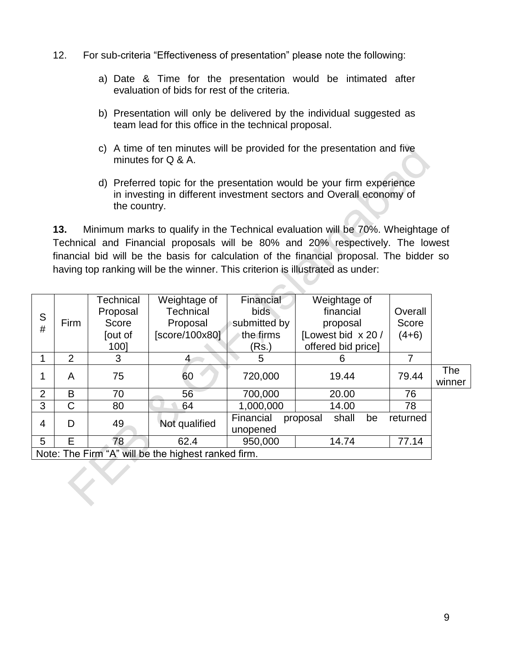- 12. For sub-criteria "Effectiveness of presentation" please note the following:
	- a) Date & Time for the presentation would be intimated after evaluation of bids for rest of the criteria.
	- b) Presentation will only be delivered by the individual suggested as team lead for this office in the technical proposal.
	- c) A time of ten minutes will be provided for the presentation and five minutes for Q & A.
	- d) Preferred topic for the presentation would be your firm experience in investing in different investment sectors and Overall economy of the country.

**13.** Minimum marks to qualify in the Technical evaluation will be 70%. Wheightage of Technical and Financial proposals will be 80% and 20% respectively. The lowest financial bid will be the basis for calculation of the financial proposal. The bidder so having top ranking will be the winner. This criterion is illustrated as under:

|                                                     |                | Technical | Weightage of     | Financial    | Weightage of            |          |        |
|-----------------------------------------------------|----------------|-----------|------------------|--------------|-------------------------|----------|--------|
| S                                                   |                | Proposal  | <b>Technical</b> | bids.        | financial               | Overall  |        |
| #                                                   | Firm           | Score     | Proposal         | submitted by | proposal                | Score    |        |
|                                                     |                | [out of   | [score/100x80]   | the firms    | [Lowest bid x 20 /      | $(4+6)$  |        |
|                                                     |                | 1001      |                  | (Rs.)        | offered bid price]      |          |        |
|                                                     | $\overline{2}$ | 3         | 4                | 5            | 6                       | 7        |        |
|                                                     | A              | 75        | 60               | 720,000      | 19.44                   | 79.44    | The    |
|                                                     |                |           |                  |              |                         |          | winner |
| $\overline{2}$                                      | B              | 70        | 56               | 700,000      | 20.00                   | 76       |        |
| 3                                                   | С              | 80        | 64               | 1,000,000    | 14.00                   | 78       |        |
| $\overline{4}$                                      | D              | 49        | Not qualified    | Financial    | shall<br>be<br>proposal | returned |        |
|                                                     |                |           |                  | unopened     |                         |          |        |
| 5                                                   | E              | 78        | 62.4             | 950,000      | 14.74                   | 77.14    |        |
| Note: The Firm "A" will be the highest ranked firm. |                |           |                  |              |                         |          |        |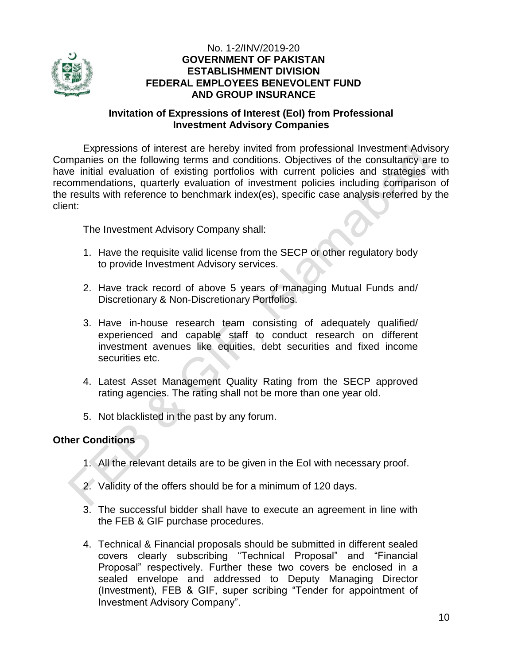

#### No. 1-2/INV/2019-20 **GOVERNMENT OF PAKISTAN ESTABLISHMENT DIVISION FEDERAL EMPLOYEES BENEVOLENT FUND AND GROUP INSURANCE**

#### **Invitation of Expressions of Interest (EoI) from Professional Investment Advisory Companies**

Expressions of interest are hereby invited from professional Investment Advisory Companies on the following terms and conditions. Objectives of the consultancy are to have initial evaluation of existing portfolios with current policies and strategies with recommendations, quarterly evaluation of investment policies including comparison of the results with reference to benchmark index(es), specific case analysis referred by the client:

The Investment Advisory Company shall:

- 1. Have the requisite valid license from the SECP or other regulatory body to provide Investment Advisory services.
- 2. Have track record of above 5 years of managing Mutual Funds and/ Discretionary & Non-Discretionary Portfolios.
- 3. Have in-house research team consisting of adequately qualified/ experienced and capable staff to conduct research on different investment avenues like equities, debt securities and fixed income securities etc.
- 4. Latest Asset Management Quality Rating from the SECP approved rating agencies. The rating shall not be more than one year old.
- 5. Not blacklisted in the past by any forum.

#### **Other Conditions**

- 1. All the relevant details are to be given in the EoI with necessary proof.
- 2. Validity of the offers should be for a minimum of 120 days.
- 3. The successful bidder shall have to execute an agreement in line with the FEB & GIF purchase procedures.
- 4. Technical & Financial proposals should be submitted in different sealed covers clearly subscribing "Technical Proposal" and "Financial Proposal" respectively. Further these two covers be enclosed in a sealed envelope and addressed to Deputy Managing Director (Investment), FEB & GIF, super scribing "Tender for appointment of Investment Advisory Company".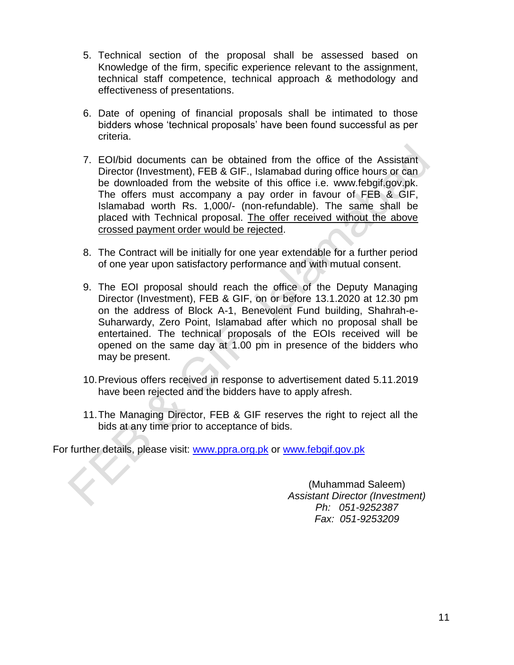- 5. Technical section of the proposal shall be assessed based on Knowledge of the firm, specific experience relevant to the assignment, technical staff competence, technical approach & methodology and effectiveness of presentations.
- 6. Date of opening of financial proposals shall be intimated to those bidders whose "technical proposals" have been found successful as per criteria.
- 7. EOI/bid documents can be obtained from the office of the Assistant Director (Investment), FEB & GIF., Islamabad during office hours or can be downloaded from the website of this office i.e. [www.febgif.gov.pk.](http://www.febgif.gov.pk/) The offers must accompany a pay order in favour of FEB & GIF, Islamabad worth Rs. 1,000/- (non-refundable). The same shall be placed with Technical proposal. The offer received without the above crossed payment order would be rejected.
- 8. The Contract will be initially for one year extendable for a further period of one year upon satisfactory performance and with mutual consent.
- 9. The EOI proposal should reach the office of the Deputy Managing Director (Investment), FEB & GIF, on or before 13.1.2020 at 12.30 pm on the address of Block A-1, Benevolent Fund building, Shahrah-e-Suharwardy, Zero Point, Islamabad after which no proposal shall be entertained. The technical proposals of the EOIs received will be opened on the same day at 1.00 pm in presence of the bidders who may be present.
- 10.Previous offers received in response to advertisement dated 5.11.2019 have been rejected and the bidders have to apply afresh.
- 11.The Managing Director, FEB & GIF reserves the right to reject all the bids at any time prior to acceptance of bids.

For further details, please visit: [www.ppra.org.pk](http://www.ppra.org.pk/) or [www.febgif.gov.pk](http://www.febgif.gov.pk/)

(Muhammad Saleem) *Assistant Director (Investment) Ph: 051-9252387 Fax: 051-9253209*